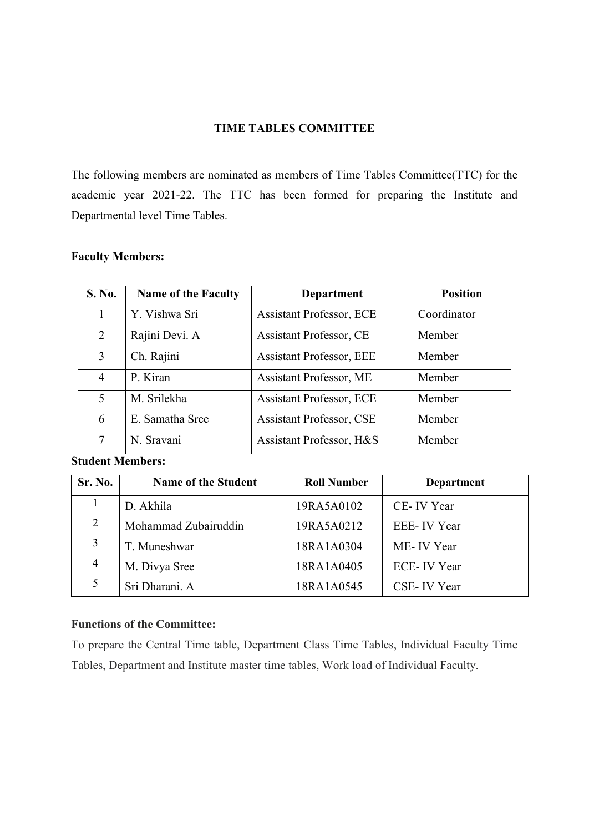#### **TIME TABLES COMMITTEE**

The following members are nominated as members of Time Tables Committee(TTC) for the academic year 2021-22. The TTC has been formed for preparing the Institute and Departmental level Time Tables.

#### **Faculty Members:**

| S. No.         | <b>Name of the Faculty</b> | <b>Department</b>               | <b>Position</b> |
|----------------|----------------------------|---------------------------------|-----------------|
|                | Y. Vishwa Sri              | <b>Assistant Professor, ECE</b> | Coordinator     |
| 2              | Rajini Devi. A             | <b>Assistant Professor, CE</b>  | Member          |
| 3              | Ch. Rajini                 | <b>Assistant Professor, EEE</b> | Member          |
| $\overline{4}$ | P. Kiran                   | <b>Assistant Professor, ME</b>  | Member          |
| 5 <sup>5</sup> | M. Srilekha                | <b>Assistant Professor, ECE</b> | Member          |
| 6              | E. Samatha Sree            | <b>Assistant Professor, CSE</b> | Member          |
| 7              | N. Sravani                 | Assistant Professor, H&S        | Member          |

**Student Members:**

| Sr. No.        | <b>Name of the Student</b> | <b>Roll Number</b> | Department   |
|----------------|----------------------------|--------------------|--------------|
|                | D. Akhila                  | 19RA5A0102         | CE-IV Year   |
| 2              | Mohammad Zubairuddin       | 19RA5A0212         | EEE-IV Year  |
| 3              | T. Muneshwar               | 18RA1A0304         | ME-IV Year   |
| $\overline{4}$ | M. Divya Sree              | 18RA1A0405         | ECE- IV Year |
|                | Sri Dharani. A             | 18RA1A0545         | CSE-IV Year  |

### **Functions of the Committee:**

To prepare the Central Time table, Department Class Time Tables, Individual Faculty Time Tables, Department and Institute master time tables, Work load of Individual Faculty.